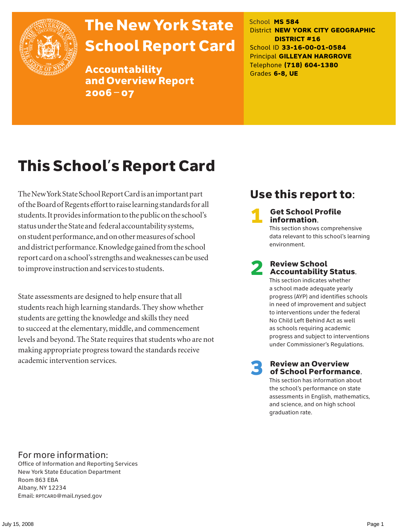

# The New York State School Report Card

Accountability and Overview Report 2006–07

School **MS 584** District **NEW YORK CITY GEOGRAPHIC DISTRICT #16** School ID **33-16-00-01-0584** Principal **GILLEYAN HARGROVE** Telephone **(718) 604-1380** Grades **6-8, UE**

# This School's Report Card

The New York State School Report Card is an important part of the Board of Regents effort to raise learning standards for all students. It provides information to the public on the school's status under the State and federal accountability systems, on student performance, and on other measures of school and district performance. Knowledge gained from the school report card on a school's strengths and weaknesses can be used to improve instruction and services to students.

State assessments are designed to help ensure that all students reach high learning standards. They show whether students are getting the knowledge and skills they need to succeed at the elementary, middle, and commencement levels and beyond. The State requires that students who are not making appropriate progress toward the standards receive academic intervention services.

# Use this report to:

**Get School Profile** information.

This section shows comprehensive data relevant to this school's learning environment.

# 2 Review School Accountability Status.

This section indicates whether a school made adequate yearly progress (AYP) and identifies schools in need of improvement and subject to interventions under the federal No Child Left Behind Act as well as schools requiring academic progress and subject to interventions under Commissioner's Regulations.

**Review an Overview** of School Performance.

This section has information about the school's performance on state assessments in English, mathematics, and science, and on high school graduation rate.

### For more information:

Office of Information and Reporting Services New York State Education Department Room 863 EBA Albany, NY 12234 Email: RPTCARD@mail.nysed.gov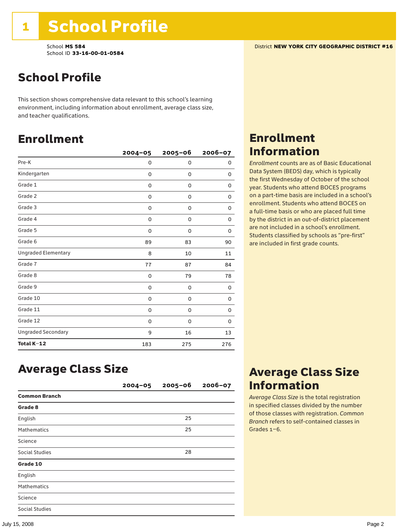### School Profile

This section shows comprehensive data relevant to this school's learning environment, including information about enrollment, average class size, and teacher qualifications.

### Enrollment

|                            | $2004 - 05$ | $2005 - 06$ | 2006-07 |
|----------------------------|-------------|-------------|---------|
| Pre-K                      | 0           | 0           | 0       |
| Kindergarten               | 0           | $\mathbf 0$ | 0       |
| Grade 1                    | 0           | 0           | 0       |
| Grade 2                    | 0           | 0           | 0       |
| Grade 3                    | 0           | 0           | 0       |
| Grade 4                    | 0           | 0           | 0       |
| Grade 5                    | 0           | 0           | 0       |
| Grade 6                    | 89          | 83          | 90      |
| <b>Ungraded Elementary</b> | 8           | 10          | 11      |
| Grade 7                    | 77          | 87          | 84      |
| Grade 8                    | 0           | 79          | 78      |
| Grade 9                    | 0           | 0           | 0       |
| Grade 10                   | 0           | 0           | 0       |
| Grade 11                   | 0           | 0           | 0       |
| Grade 12                   | 0           | 0           | 0       |
| <b>Ungraded Secondary</b>  | 9           | 16          | 13      |
| Total K-12                 | 183         | 275         | 276     |

### Enrollment Information

*Enrollment* counts are as of Basic Educational Data System (BEDS) day, which is typically the first Wednesday of October of the school year. Students who attend BOCES programs on a part-time basis are included in a school's enrollment. Students who attend BOCES on a full-time basis or who are placed full time by the district in an out-of-district placement are not included in a school's enrollment. Students classified by schools as "pre-first" are included in first grade counts.

### Average Class Size

|                       | $2004 - 05$ | $2005 - 06$ | $2006 - 07$ |
|-----------------------|-------------|-------------|-------------|
| <b>Common Branch</b>  |             |             |             |
| Grade 8               |             |             |             |
| English               |             | 25          |             |
| <b>Mathematics</b>    |             | 25          |             |
| Science               |             |             |             |
| <b>Social Studies</b> |             | 28          |             |
| Grade 10              |             |             |             |
| English               |             |             |             |
| <b>Mathematics</b>    |             |             |             |
| Science               |             |             |             |
| <b>Social Studies</b> |             |             |             |

## Average Class Size Information

*Average Class Size* is the total registration in specified classes divided by the number of those classes with registration. *Common Branch* refers to self-contained classes in Grades 1–6.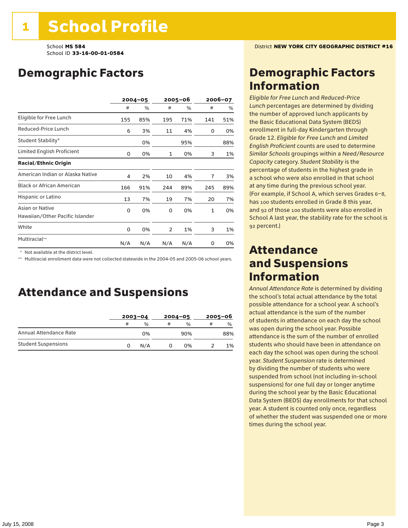# Demographic Factors

|                                                    |     | $2004 - 05$ | 2005-06 |     | 2006-07        |     |
|----------------------------------------------------|-----|-------------|---------|-----|----------------|-----|
|                                                    | #   | %           | #       | %   | #              | %   |
| Eligible for Free Lunch                            | 155 | 85%         | 195     | 71% | 141            | 51% |
| Reduced-Price Lunch                                | 6   | 3%          | 11      | 4%  | 0              | 0%  |
| Student Stability*                                 |     | 0%          |         | 95% |                | 88% |
| Limited English Proficient                         | 0   | 0%          | 1       | 0%  | 3              | 1%  |
| <b>Racial/Ethnic Origin</b>                        |     |             |         |     |                |     |
| American Indian or Alaska Native                   | 4   | 2%          | 10      | 4%  | $\overline{7}$ | 3%  |
| <b>Black or African American</b>                   | 166 | 91%         | 244     | 89% | 245            | 89% |
| Hispanic or Latino                                 | 13  | 7%          | 19      | 7%  | 20             | 7%  |
| Asian or Native<br>Hawaiian/Other Pacific Islander | 0   | 0%          | 0       | 0%  | $\mathbf{1}$   | 0%  |
| White                                              | 0   | 0%          | 2       | 1%  | 3              | 1%  |
| Multiracial**                                      | N/A | N/A         | N/A     | N/A | 0              | 0%  |

\* Not available at the district level.

\*\* Multiracial enrollment data were not collected statewide in the 2004-05 and 2005-06 school years.

### Attendance and Suspensions

|                            |   | $2003 - 04$ |   | $2004 - 05$   |   | $2005 - 06$   |  |
|----------------------------|---|-------------|---|---------------|---|---------------|--|
|                            | # | %           | # | $\frac{0}{0}$ | # | $\frac{0}{0}$ |  |
| Annual Attendance Rate     |   | 0%          |   | 90%           |   | 88%           |  |
| <b>Student Suspensions</b> | 0 | N/A         |   | 0%            |   | 1%            |  |

### Demographic Factors Information

*Eligible for Free Lunch* and *Reduced*-*Price Lunch* percentages are determined by dividing the number of approved lunch applicants by the Basic Educational Data System (BEDS) enrollment in full-day Kindergarten through Grade 12. *Eligible for Free Lunch* and *Limited English Proficient* counts are used to determine *Similar Schools* groupings within a *Need*/*Resource Capacity* category. *Student Stability* is the percentage of students in the highest grade in a school who were also enrolled in that school at any time during the previous school year. (For example, if School A, which serves Grades 6–8, has 100 students enrolled in Grade 8 this year, and 92 of those 100 students were also enrolled in School A last year, the stability rate for the school is 92 percent.)

### Attendance and Suspensions Information

*Annual Attendance Rate* is determined by dividing the school's total actual attendance by the total possible attendance for a school year. A school's actual attendance is the sum of the number of students in attendance on each day the school was open during the school year. Possible attendance is the sum of the number of enrolled students who should have been in attendance on each day the school was open during the school year. *Student Suspension* rate is determined by dividing the number of students who were suspended from school (not including in-school suspensions) for one full day or longer anytime during the school year by the Basic Educational Data System (BEDS) day enrollments for that school year. A student is counted only once, regardless of whether the student was suspended one or more times during the school year.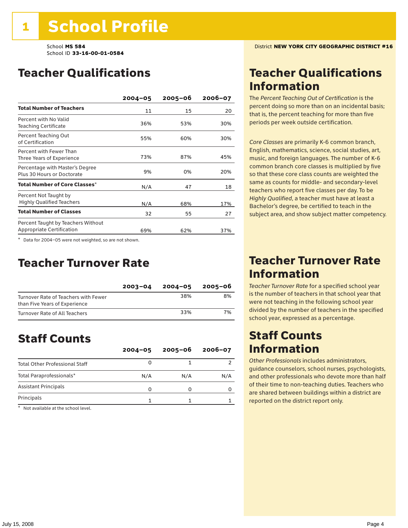### Teacher Qualifications

|                                                                 | $2004 - 05$ | 2005-06 | 2006-07 |
|-----------------------------------------------------------------|-------------|---------|---------|
| <b>Total Number of Teachers</b>                                 | 11          | 15      | 20      |
| Percent with No Valid<br><b>Teaching Certificate</b>            | 36%         | 53%     | 30%     |
| Percent Teaching Out<br>of Certification                        | 55%         | 60%     | 30%     |
| Percent with Fewer Than<br>Three Years of Experience            | 73%         | 87%     | 45%     |
| Percentage with Master's Degree<br>Plus 30 Hours or Doctorate   | 9%          | 0%      | 20%     |
| Total Number of Core Classes <sup>*</sup>                       | N/A         | 47      | 18      |
| Percent Not Taught by<br><b>Highly Qualified Teachers</b>       | N/A         | 68%     | 17%     |
| <b>Total Number of Classes</b>                                  | 32          | 55      | 27      |
| Percent Taught by Teachers Without<br>Appropriate Certification | 69%         | 62%     | 37%     |

\* Data for 2004–05 were not weighted, so are not shown.

### Teacher Turnover Rate

|                                                                       | $2003 - 04$ | $2004 - 05$ | 2005-06 |
|-----------------------------------------------------------------------|-------------|-------------|---------|
| Turnover Rate of Teachers with Fewer<br>than Five Years of Experience |             | 38%         | 8%      |
| Turnover Rate of All Teachers                                         |             | 33%         | 7%      |

# Staff Counts

|                                       | $2004 - 05$ | $2005 - 06$ | $2006 - 07$ |
|---------------------------------------|-------------|-------------|-------------|
| <b>Total Other Professional Staff</b> |             |             |             |
| Total Paraprofessionals*              | N/A         | N/A         | N/A         |
| <b>Assistant Principals</b>           | O           |             |             |
| Principals                            |             |             |             |

\* Not available at the school level.

### Teacher Qualifications Information

The *Percent Teaching Out of Certification* is the percent doing so more than on an incidental basis; that is, the percent teaching for more than five periods per week outside certification.

*Core Classes* are primarily K-6 common branch, English, mathematics, science, social studies, art, music, and foreign languages. The number of K-6 common branch core classes is multiplied by five so that these core class counts are weighted the same as counts for middle- and secondary-level teachers who report five classes per day. To be *Highly Qualified*, a teacher must have at least a Bachelor's degree, be certified to teach in the subject area, and show subject matter competency.

### Teacher Turnover Rate Information

*Teacher Turnover Rate* for a specified school year is the number of teachers in that school year that were not teaching in the following school year divided by the number of teachers in the specified school year, expressed as a percentage.

### Staff Counts Information

*Other Professionals* includes administrators, guidance counselors, school nurses, psychologists, and other professionals who devote more than half of their time to non-teaching duties. Teachers who are shared between buildings within a district are reported on the district report only.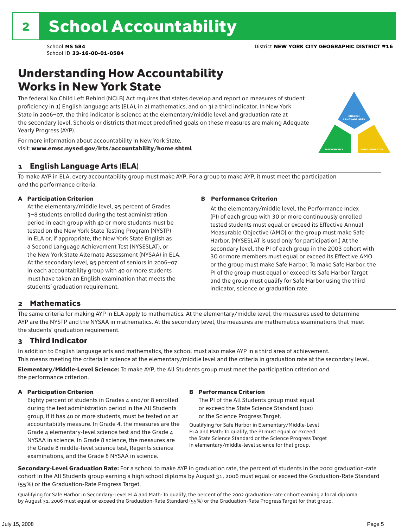### Understanding How Accountability Works in New York State

The federal No Child Left Behind (NCLB) Act requires that states develop and report on measures of student proficiency in 1) English language arts (ELA), in 2) mathematics, and on 3) a third indicator. In New York State in 2006–07, the third indicator is science at the elementary/middle level and graduation rate at the secondary level. Schools or districts that meet predefined goals on these measures are making Adequate Yearly Progress (AYP).



For more information about accountability in New York State, visit: www.emsc.nysed.gov/irts/accountability/home.shtml

### 1 English Language Arts (ELA)

To make AYP in ELA, every accountability group must make AYP. For a group to make AYP, it must meet the participation *and* the performance criteria.

#### A Participation Criterion

At the elementary/middle level, 95 percent of Grades 3–8 students enrolled during the test administration period in each group with 40 or more students must be tested on the New York State Testing Program (NYSTP) in ELA or, if appropriate, the New York State English as a Second Language Achievement Test (NYSESLAT), or the New York State Alternate Assessment (NYSAA) in ELA. At the secondary level, 95 percent of seniors in 2006–07 in each accountability group with 40 or more students must have taken an English examination that meets the students' graduation requirement.

#### B Performance Criterion

At the elementary/middle level, the Performance Index (PI) of each group with 30 or more continuously enrolled tested students must equal or exceed its Effective Annual Measurable Objective (AMO) or the group must make Safe Harbor. (NYSESLAT is used only for participation.) At the secondary level, the PI of each group in the 2003 cohort with 30 or more members must equal or exceed its Effective AMO or the group must make Safe Harbor. To make Safe Harbor, the PI of the group must equal or exceed its Safe Harbor Target and the group must qualify for Safe Harbor using the third indicator, science or graduation rate.

### 2 Mathematics

The same criteria for making AYP in ELA apply to mathematics. At the elementary/middle level, the measures used to determine AYP are the NYSTP and the NYSAA in mathematics. At the secondary level, the measures are mathematics examinations that meet the students' graduation requirement.

### 3 Third Indicator

In addition to English language arts and mathematics, the school must also make AYP in a third area of achievement. This means meeting the criteria in science at the elementary/middle level and the criteria in graduation rate at the secondary level.

Elementary/Middle-Level Science: To make AYP, the All Students group must meet the participation criterion *and* the performance criterion.

#### A Participation Criterion

Eighty percent of students in Grades 4 and/or 8 enrolled during the test administration period in the All Students group, if it has 40 or more students, must be tested on an accountability measure. In Grade 4, the measures are the Grade 4 elementary-level science test and the Grade 4 NYSAA in science. In Grade 8 science, the measures are the Grade 8 middle-level science test, Regents science examinations, and the Grade 8 NYSAA in science.

#### B Performance Criterion

The PI of the All Students group must equal or exceed the State Science Standard (100) or the Science Progress Target.

Qualifying for Safe Harbor in Elementary/Middle-Level ELA and Math: To qualify, the PI must equal or exceed the State Science Standard or the Science Progress Target in elementary/middle-level science for that group.

Secondary-Level Graduation Rate: For a school to make AYP in graduation rate, the percent of students in the 2002 graduation-rate cohort in the All Students group earning a high school diploma by August 31, 2006 must equal or exceed the Graduation-Rate Standard (55%) or the Graduation-Rate Progress Target.

Qualifying for Safe Harbor in Secondary-Level ELA and Math: To qualify, the percent of the 2002 graduation-rate cohort earning a local diploma by August 31, 2006 must equal or exceed the Graduation-Rate Standard (55%) or the Graduation-Rate Progress Target for that group.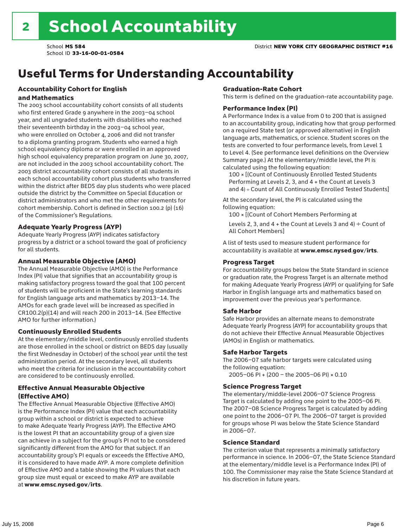# Useful Terms for Understanding Accountability

#### Accountability Cohort for English and Mathematics

The 2003 school accountability cohort consists of all students who first entered Grade 9 anywhere in the 2003–04 school year, and all ungraded students with disabilities who reached their seventeenth birthday in the 2003–04 school year, who were enrolled on October 4, 2006 and did not transfer to a diploma granting program. Students who earned a high school equivalency diploma or were enrolled in an approved high school equivalency preparation program on June 30, 2007, are not included in the 2003 school accountability cohort. The 2003 district accountability cohort consists of all students in each school accountability cohort plus students who transferred within the district after BEDS day plus students who were placed outside the district by the Committee on Special Education or district administrators and who met the other requirements for cohort membership. Cohort is defined in Section 100.2 (p) (16) of the Commissioner's Regulations.

#### Adequate Yearly Progress (AYP)

Adequate Yearly Progress (AYP) indicates satisfactory progress by a district or a school toward the goal of proficiency for all students.

#### Annual Measurable Objective (AMO)

The Annual Measurable Objective (AMO) is the Performance Index (PI) value that signifies that an accountability group is making satisfactory progress toward the goal that 100 percent of students will be proficient in the State's learning standards for English language arts and mathematics by 2013–14. The AMOs for each grade level will be increased as specified in CR100.2(p)(14) and will reach 200 in 2013–14. (See Effective AMO for further information.)

#### Continuously Enrolled Students

At the elementary/middle level, continuously enrolled students are those enrolled in the school or district on BEDS day (usually the first Wednesday in October) of the school year until the test administration period. At the secondary level, all students who meet the criteria for inclusion in the accountability cohort are considered to be continuously enrolled.

#### Effective Annual Measurable Objective (Effective AMO)

The Effective Annual Measurable Objective (Effective AMO) is the Performance Index (PI) value that each accountability group within a school or district is expected to achieve to make Adequate Yearly Progress (AYP). The Effective AMO is the lowest PI that an accountability group of a given size can achieve in a subject for the group's PI not to be considered significantly different from the AMO for that subject. If an accountability group's PI equals or exceeds the Effective AMO, it is considered to have made AYP. A more complete definition of Effective AMO and a table showing the PI values that each group size must equal or exceed to make AYP are available at www.emsc.nysed.gov/irts.

#### Graduation-Rate Cohort

This term is defined on the graduation-rate accountability page.

#### Performance Index (PI)

A Performance Index is a value from 0 to 200 that is assigned to an accountability group, indicating how that group performed on a required State test (or approved alternative) in English language arts, mathematics, or science. Student scores on the tests are converted to four performance levels, from Level 1 to Level 4. (See performance level definitions on the Overview Summary page.) At the elementary/middle level, the PI is calculated using the following equation:

100 × [(Count of Continuously Enrolled Tested Students Performing at Levels 2, 3, and 4 + the Count at Levels 3 and 4) ÷ Count of All Continuously Enrolled Tested Students]

At the secondary level, the PI is calculated using the following equation:

100 × [(Count of Cohort Members Performing at

Levels 2, 3, and 4 + the Count at Levels 3 and 4)  $\div$  Count of All Cohort Members]

A list of tests used to measure student performance for accountability is available at www.emsc.nysed.gov/irts.

#### Progress Target

For accountability groups below the State Standard in science or graduation rate, the Progress Target is an alternate method for making Adequate Yearly Progress (AYP) or qualifying for Safe Harbor in English language arts and mathematics based on improvement over the previous year's performance.

#### Safe Harbor

Safe Harbor provides an alternate means to demonstrate Adequate Yearly Progress (AYP) for accountability groups that do not achieve their Effective Annual Measurable Objectives (AMOs) in English or mathematics.

#### Safe Harbor Targets

The 2006–07 safe harbor targets were calculated using the following equation:

2005–06 PI + (200 – the 2005–06 PI) × 0.10

#### Science Progress Target

The elementary/middle-level 2006–07 Science Progress Target is calculated by adding one point to the 2005–06 PI. The 2007–08 Science Progress Target is calculated by adding one point to the 2006–07 PI. The 2006–07 target is provided for groups whose PI was below the State Science Standard in 2006–07.

#### Science Standard

The criterion value that represents a minimally satisfactory performance in science. In 2006–07, the State Science Standard at the elementary/middle level is a Performance Index (PI) of 100. The Commissioner may raise the State Science Standard at his discretion in future years.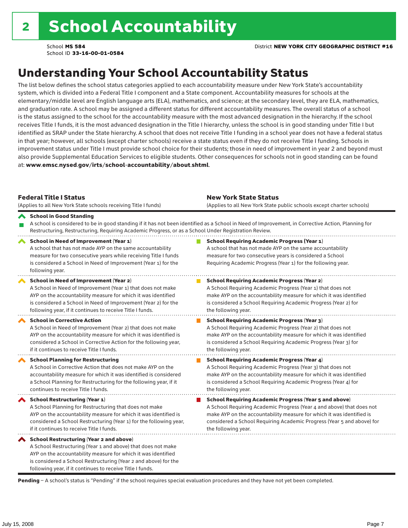# Understanding Your School Accountability Status

The list below defines the school status categories applied to each accountability measure under New York State's accountability system, which is divided into a Federal Title I component and a State component. Accountability measures for schools at the elementary/middle level are English language arts (ELA), mathematics, and science; at the secondary level, they are ELA, mathematics, and graduation rate. A school may be assigned a different status for different accountability measures. The overall status of a school is the status assigned to the school for the accountability measure with the most advanced designation in the hierarchy. If the school receives Title I funds, it is the most advanced designation in the Title I hierarchy, unless the school is in good standing under Title I but identified as SRAP under the State hierarchy. A school that does not receive Title I funding in a school year does not have a federal status in that year; however, all schools (except charter schools) receive a state status even if they do not receive Title I funding. Schools in improvement status under Title I must provide school choice for their students; those in need of improvement in year 2 and beyond must also provide Supplemental Education Services to eligible students. Other consequences for schools not in good standing can be found at: www.emsc.nysed.gov/irts/school-accountability/about.shtml.

| <b>Federal Title I Status</b><br>(Applies to all New York State schools receiving Title I funds)                                                                                                                                                                                                                | <b>New York State Status</b><br>(Applies to all New York State public schools except charter schools) |                                                                                                                                                                                                                                                                                                                 |  |  |  |  |
|-----------------------------------------------------------------------------------------------------------------------------------------------------------------------------------------------------------------------------------------------------------------------------------------------------------------|-------------------------------------------------------------------------------------------------------|-----------------------------------------------------------------------------------------------------------------------------------------------------------------------------------------------------------------------------------------------------------------------------------------------------------------|--|--|--|--|
| School in Good Standing<br>Restructuring, Restructuring, Requiring Academic Progress, or as a School Under Registration Review.                                                                                                                                                                                 |                                                                                                       | A school is considered to be in good standing if it has not been identified as a School in Need of Improvement, in Corrective Action, Planning for                                                                                                                                                              |  |  |  |  |
| School in Need of Improvement (Year 1)<br>A school that has not made AYP on the same accountability<br>measure for two consecutive years while receiving Title I funds<br>is considered a School in Need of Improvement (Year 1) for the<br>following year.                                                     |                                                                                                       | <b>School Requiring Academic Progress (Year 1)</b><br>A school that has not made AYP on the same accountability<br>measure for two consecutive years is considered a School<br>Requiring Academic Progress (Year 1) for the following year.                                                                     |  |  |  |  |
| <b>School in Need of Improvement (Year 2)</b><br>A School in Need of Improvement (Year 1) that does not make<br>AYP on the accountability measure for which it was identified<br>is considered a School in Need of Improvement (Year 2) for the<br>following year, if it continues to receive Title I funds.    |                                                                                                       | <b>School Requiring Academic Progress (Year 2)</b><br>A School Requiring Academic Progress (Year 1) that does not<br>make AYP on the accountability measure for which it was identified<br>is considered a School Requiring Academic Progress (Year 2) for<br>the following year.                               |  |  |  |  |
| <b>School in Corrective Action</b><br>A School in Need of Improvement (Year 2) that does not make<br>AYP on the accountability measure for which it was identified is<br>considered a School in Corrective Action for the following year,<br>if it continues to receive Title I funds.                          |                                                                                                       | <b>School Requiring Academic Progress (Year 3)</b><br>A School Requiring Academic Progress (Year 2) that does not<br>make AYP on the accountability measure for which it was identified<br>is considered a School Requiring Academic Progress (Year 3) for<br>the following year.                               |  |  |  |  |
| <b>School Planning for Restructuring</b><br>A School in Corrective Action that does not make AYP on the<br>accountability measure for which it was identified is considered<br>a School Planning for Restructuring for the following year, if it<br>continues to receive Title I funds.                         |                                                                                                       | <b>School Requiring Academic Progress (Year 4)</b><br>A School Requiring Academic Progress (Year 3) that does not<br>make AYP on the accountability measure for which it was identified<br>is considered a School Requiring Academic Progress (Year 4) for<br>the following year.                               |  |  |  |  |
| School Restructuring (Year 1)<br>A School Planning for Restructuring that does not make<br>AYP on the accountability measure for which it was identified is<br>considered a School Restructuring (Year 1) for the following year,<br>if it continues to receive Title I funds.                                  |                                                                                                       | <b>School Requiring Academic Progress (Year 5 and above)</b><br>A School Requiring Academic Progress (Year 4 and above) that does not<br>make AYP on the accountability measure for which it was identified is<br>considered a School Requiring Academic Progress (Year 5 and above) for<br>the following year. |  |  |  |  |
| <b>School Restructuring (Year 2 and above)</b><br>A School Restructuring (Year 1 and above) that does not make<br>AYP on the accountability measure for which it was identified<br>is considered a School Restructuring (Year 2 and above) for the<br>following year, if it continues to receive Title I funds. |                                                                                                       |                                                                                                                                                                                                                                                                                                                 |  |  |  |  |

Pending - A school's status is "Pending" if the school requires special evaluation procedures and they have not yet been completed.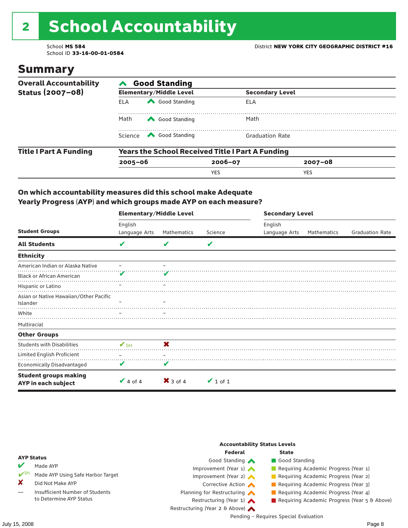# 2 School Accountability

School ID **33-16-00-01-0584**

### Summary

| <b>Overall Accountability</b> | <b>Good Standing</b> |                                                         |             |                        |  |  |  |
|-------------------------------|----------------------|---------------------------------------------------------|-------------|------------------------|--|--|--|
| Status (2007-08)              |                      | <b>Elementary/Middle Level</b>                          |             | <b>Secondary Level</b> |  |  |  |
|                               | <b>ELA</b>           | Good Standing                                           | ELA         |                        |  |  |  |
|                               | Math                 | Good Standing                                           | Math        |                        |  |  |  |
|                               | Science              | Good Standing                                           |             | <b>Graduation Rate</b> |  |  |  |
| <b>Title I Part A Funding</b> |                      | <b>Years the School Received Title I Part A Funding</b> |             |                        |  |  |  |
|                               | $2005 - 06$          |                                                         | $2006 - 07$ | $2007 - 08$            |  |  |  |
|                               |                      |                                                         | <b>YES</b>  | <b>YES</b>             |  |  |  |

### On which accountability measures did this school make Adequate Yearly Progress (AYP) and which groups made AYP on each measure?

|                                                     | <b>Elementary/Middle Level</b> |                     |               | <b>Secondary Level</b> |             |                        |  |
|-----------------------------------------------------|--------------------------------|---------------------|---------------|------------------------|-------------|------------------------|--|
|                                                     | English                        |                     |               | English                |             |                        |  |
| <b>Student Groups</b>                               | Language Arts                  | Mathematics         | Science       | Language Arts          | Mathematics | <b>Graduation Rate</b> |  |
| <b>All Students</b>                                 | V                              | V                   | V             |                        |             |                        |  |
| <b>Ethnicity</b>                                    |                                |                     |               |                        |             |                        |  |
| American Indian or Alaska Native                    |                                |                     |               |                        |             |                        |  |
| <b>Black or African American</b>                    |                                |                     |               |                        |             |                        |  |
| Hispanic or Latino                                  |                                |                     |               |                        |             |                        |  |
| Asian or Native Hawaiian/Other Pacific<br>Islander  |                                |                     |               |                        |             |                        |  |
| White                                               |                                |                     |               |                        |             |                        |  |
| Multiracial                                         |                                |                     |               |                        |             |                        |  |
| <b>Other Groups</b>                                 |                                |                     |               |                        |             |                        |  |
| <b>Students with Disabilities</b>                   | $\mathbf{V}_{\text{SH}}$       | X                   |               |                        |             |                        |  |
| Limited English Proficient                          |                                |                     |               |                        |             |                        |  |
| <b>Economically Disadvantaged</b>                   | V                              | V                   |               |                        |             |                        |  |
| <b>Student groups making</b><br>AYP in each subject | $\vee$ 4 of 4                  | $\mathsf{X}$ 3 of 4 | $\vee$ 1 of 1 |                        |             |                        |  |

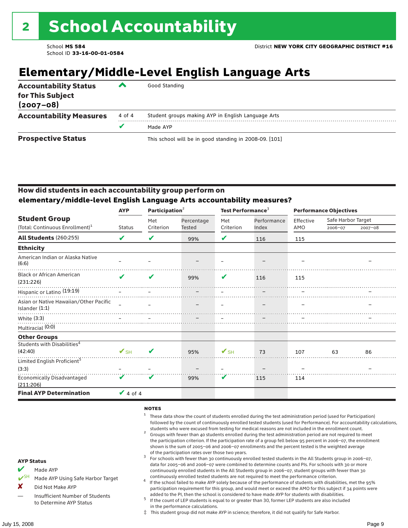# **Elementary/Middle-Level English Language Arts**

| <b>Accountability Status</b><br>for This Subject<br>$(2007 - 08)$ | ▰      | Good Standing                                          |
|-------------------------------------------------------------------|--------|--------------------------------------------------------|
| <b>Accountability Measures</b>                                    | 4 of 4 | Student groups making AYP in English Language Arts     |
|                                                                   | v      | Made AYP                                               |
| <b>Prospective Status</b>                                         |        | This school will be in good standing in 2008-09. [101] |

### How did students in each accountability group perform on **elementary/middle-level English Language Arts accountability measures?**

|                                                            | <b>AYP</b>               | Participation <sup>2</sup> |            | Test Performance <sup>3</sup> |             | <b>Performance Objectives</b> |                    |             |
|------------------------------------------------------------|--------------------------|----------------------------|------------|-------------------------------|-------------|-------------------------------|--------------------|-------------|
| <b>Student Group</b>                                       |                          | Met                        | Percentage | Met                           | Performance | Effective                     | Safe Harbor Target |             |
| (Total: Continuous Enrollment) <sup>1</sup>                | <b>Status</b>            | Criterion                  | Tested     | Criterion                     | Index       | AMO                           | 2006-07            | $2007 - 08$ |
| <b>All Students (260:255)</b>                              | V                        | V                          | 99%        | ✔                             | 116         | 115                           |                    |             |
| <b>Ethnicity</b>                                           |                          |                            |            |                               |             |                               |                    |             |
| American Indian or Alaska Native<br>(6:6)                  |                          |                            |            |                               |             |                               |                    |             |
| <b>Black or African American</b><br>(231:226)              | ✔                        | V                          | 99%        | V                             | 116         | 115                           |                    |             |
| Hispanic or Latino <sup>(19:19)</sup>                      |                          |                            |            |                               |             |                               |                    |             |
| Asian or Native Hawaiian/Other Pacific<br>Islander $(1:1)$ |                          |                            |            |                               |             |                               |                    |             |
| White (3:3)                                                |                          |                            |            |                               |             |                               |                    |             |
| Multiracial (0:0)                                          |                          |                            |            |                               |             |                               |                    |             |
| <b>Other Groups</b>                                        |                          |                            |            |                               |             |                               |                    |             |
| Students with Disabilities <sup>4</sup><br>(42:40)         | $\mathbf{V}_{\text{SH}}$ | ✔                          |            | $\mathbf{V}_{\text{SH}}$      |             |                               |                    |             |
|                                                            |                          |                            | 95%        |                               | 73          | 107                           | 63                 | 86          |
| Limited English Proficient <sup>5</sup>                    |                          |                            |            |                               |             |                               |                    |             |
| (3:3)                                                      |                          |                            |            |                               |             |                               |                    |             |
| <b>Economically Disadvantaged</b><br>(211:206)             | V                        | V                          | 99%        | V                             | 115         | 114                           |                    |             |
| <b>Final AYP Determination</b>                             | $\vee$ 4 of 4            |                            |            |                               |             |                               |                    |             |

#### **NOTES**

- <sup>1</sup> These data show the count of students enrolled during the test administration period (used for Participation) followed by the count of continuously enrolled tested students (used for Performance). For accountability calculations,
- students who were excused from testing for medical reasons are not included in the enrollment count. <sup>2</sup> Groups with fewer than 40 students enrolled during the test administration period are not required to meet the participation criterion. If the participation rate of a group fell below 95 percent in 2006–07, the enrollment shown is the sum of 2005–06 and 2006–07 enrollments and the percent tested is the weighted average
- of the participation rates over those two years.<br><sup>3</sup> For schools with fewer than 30 continuously enrolled tested students in the All Students group in 2006–07, data for 2005–06 and 2006–07 were combined to determine counts and PIs. For schools with 30 or more continuously enrolled students in the All Students group in 2006–07, student groups with fewer than 30
- continuously enrolled tested students are not required to meet the performance criterion. <sup>4</sup> If the school failed to make AYP solely because of the performance of students with disabilities, met the 95% participation requirement for this group, and would meet or exceed the AMO for this subject if 34 points were added to the PI, then the school is considered to have made AYP for students with disabilities.
- $5$  If the count of LEP students is equal to or greater than 30, former LEP students are also included in the performance calculations.
- ‡ This student group did not make AYP in science; therefore, it did not qualify for Safe Harbor.
- Made AYP
	- Made AYP Using Safe Harbor Target
- X Did Not Make AYP
- Insufficient Number of Students to Determine AYP Status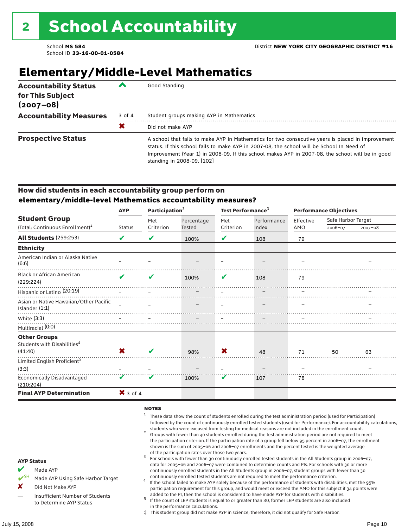# **Elementary/Middle-Level Mathematics**

| <b>Accountability Status</b><br>for This Subject<br>$(2007 - 08)$ |        | Good Standing                                                                                                                                                                                                                                                                                                                    |
|-------------------------------------------------------------------|--------|----------------------------------------------------------------------------------------------------------------------------------------------------------------------------------------------------------------------------------------------------------------------------------------------------------------------------------|
| <b>Accountability Measures</b>                                    | 3 of 4 | Student groups making AYP in Mathematics                                                                                                                                                                                                                                                                                         |
|                                                                   | X      | Did not make AYP                                                                                                                                                                                                                                                                                                                 |
| <b>Prospective Status</b>                                         |        | A school that fails to make AYP in Mathematics for two consecutive years is placed in improvement<br>status. If this school fails to make AYP in 2007-08, the school will be School In Need of<br>Improvement (Year 1) in 2008-09. If this school makes AYP in 2007-08, the school will be in good<br>standing in 2008-09. [102] |

### How did students in each accountability group perform on **elementary/middle-level Mathematics accountability measures?**

|                                                            | <b>AYP</b>                 | Participation <sup>2</sup> |            | Test Performance <sup>3</sup> |             | <b>Performance Objectives</b> |                    |             |
|------------------------------------------------------------|----------------------------|----------------------------|------------|-------------------------------|-------------|-------------------------------|--------------------|-------------|
| <b>Student Group</b>                                       |                            | Met                        | Percentage | Met                           | Performance | Effective                     | Safe Harbor Target |             |
| (Total: Continuous Enrollment) <sup>1</sup>                | <b>Status</b>              | Criterion                  | Tested     | Criterion                     | Index       | AMO                           | 2006-07            | $2007 - 08$ |
| <b>All Students (259:253)</b>                              | V                          | V                          | 100%       | V                             | 108         | 79                            |                    |             |
| <b>Ethnicity</b>                                           |                            |                            |            |                               |             |                               |                    |             |
| American Indian or Alaska Native<br>(6:6)                  |                            |                            |            |                               |             |                               |                    |             |
| <b>Black or African American</b><br>(229:224)              | $\boldsymbol{\mathcal{U}}$ | V                          | 100%       | V                             | 108         | 79                            |                    |             |
| Hispanic or Latino <sup>(20:19)</sup>                      |                            |                            |            |                               |             |                               |                    |             |
| Asian or Native Hawaiian/Other Pacific<br>Islander $(1:1)$ |                            |                            |            |                               |             |                               |                    |             |
| White (3:3)                                                |                            |                            |            |                               |             |                               |                    |             |
| Multiracial (0:0)                                          |                            |                            |            |                               |             |                               |                    |             |
| <b>Other Groups</b>                                        |                            |                            |            |                               |             |                               |                    |             |
| Students with Disabilities <sup>4</sup><br>(41:40)         | X                          | ✔                          | 98%        | X                             | 48          | 71                            | 50                 | 63          |
| Limited English Proficient <sup>5</sup>                    |                            |                            |            |                               |             |                               |                    |             |
| (3:3)                                                      |                            |                            |            |                               |             |                               |                    |             |
| <b>Economically Disadvantaged</b><br>(210:204)             | V                          | V                          | 100%       | V                             | 107         | 78                            |                    |             |
| <b>Final AYP Determination</b>                             | $X$ 3 of 4                 |                            |            |                               |             |                               |                    |             |

#### **NOTES**

- <sup>1</sup> These data show the count of students enrolled during the test administration period (used for Participation) followed by the count of continuously enrolled tested students (used for Performance). For accountability calculations,
- students who were excused from testing for medical reasons are not included in the enrollment count.<br><sup>2</sup> Groups with fewer than 40 students enrolled during the test administration period are not required to meet the participation criterion. If the participation rate of a group fell below 95 percent in 2006–07, the enrollment shown is the sum of 2005–06 and 2006–07 enrollments and the percent tested is the weighted average
- of the participation rates over those two years.<br><sup>3</sup> For schools with fewer than 30 continuously enrolled tested students in the All Students group in 2006–07, data for 2005–06 and 2006–07 were combined to determine counts and PIs. For schools with 30 or more continuously enrolled students in the All Students group in 2006–07, student groups with fewer than 30
- continuously enrolled tested students are not required to meet the performance criterion. <sup>4</sup> If the school failed to make AYP solely because of the performance of students with disabilities, met the 95% participation requirement for this group, and would meet or exceed the AMO for this subject if 34 points were added to the PI, then the school is considered to have made AYP for students with disabilities.
- $5$  If the count of LEP students is equal to or greater than 30, former LEP students are also included in the performance calculations.
- ‡ This student group did not make AYP in science; therefore, it did not qualify for Safe Harbor.

#### AYP Status

- Made AYP
	- Made AYP Using Safe Harbor Target
- X Did Not Make AYP
- Insufficient Number of Students to Determine AYP Status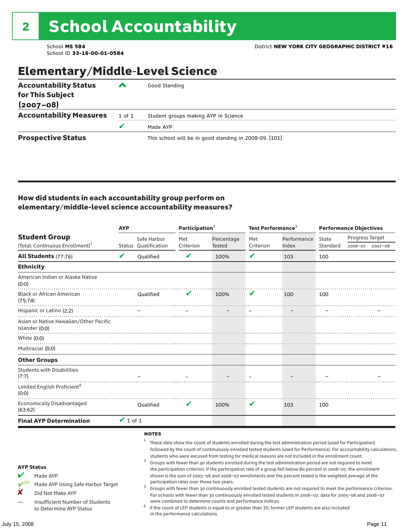# Elementary/Middle-Level Science

| <b>Accountability Status</b><br>for This Subject<br>$(2007 - 08)$ | ‴      | Good Standing                                          |
|-------------------------------------------------------------------|--------|--------------------------------------------------------|
| <b>Accountability Measures</b>                                    | 1 of 1 | Student groups making AYP in Science                   |
|                                                                   | v      | Made AYP                                               |
| <b>Prospective Status</b>                                         |        | This school will be in good standing in 2008-09. [101] |

### How did students in each accountability group perform on elementary/middle-level science accountability measures?

|                                                                                                                                                                                   |               |                                     | Participation <sup>2</sup>                                                    |                                                            | Test Performance <sup>3</sup> |                                                                                                                                                                                                                                                                                                                                                                                                                                                                                                                                                                                                                                                                                                                                                                                                                                                                                                                                                                                                                                                 | <b>Performance Objectives</b> |                 |                 |
|-----------------------------------------------------------------------------------------------------------------------------------------------------------------------------------|---------------|-------------------------------------|-------------------------------------------------------------------------------|------------------------------------------------------------|-------------------------------|-------------------------------------------------------------------------------------------------------------------------------------------------------------------------------------------------------------------------------------------------------------------------------------------------------------------------------------------------------------------------------------------------------------------------------------------------------------------------------------------------------------------------------------------------------------------------------------------------------------------------------------------------------------------------------------------------------------------------------------------------------------------------------------------------------------------------------------------------------------------------------------------------------------------------------------------------------------------------------------------------------------------------------------------------|-------------------------------|-----------------|-----------------|
| <b>Student Group</b><br>(Total: Continuous Enrollment) <sup>1</sup>                                                                                                               |               | Safe Harbor<br>Status Qualification | Met<br>Criterion                                                              | Percentage<br><b>Tested</b>                                | Met<br>Criterion              | Performance<br>Index                                                                                                                                                                                                                                                                                                                                                                                                                                                                                                                                                                                                                                                                                                                                                                                                                                                                                                                                                                                                                            | State<br>Standard             | Progress Target | 2006-07 2007-08 |
| <b>All Students (77:76)</b>                                                                                                                                                       | V             | <b>Oualified</b>                    | V                                                                             | 100%                                                       | $\checkmark$                  | 103                                                                                                                                                                                                                                                                                                                                                                                                                                                                                                                                                                                                                                                                                                                                                                                                                                                                                                                                                                                                                                             | 100                           |                 |                 |
|                                                                                                                                                                                   |               |                                     |                                                                               |                                                            |                               |                                                                                                                                                                                                                                                                                                                                                                                                                                                                                                                                                                                                                                                                                                                                                                                                                                                                                                                                                                                                                                                 |                               |                 |                 |
| <b>Ethnicity</b>                                                                                                                                                                  |               |                                     |                                                                               |                                                            |                               |                                                                                                                                                                                                                                                                                                                                                                                                                                                                                                                                                                                                                                                                                                                                                                                                                                                                                                                                                                                                                                                 |                               |                 |                 |
| American Indian or Alaska Native<br>(0:0)                                                                                                                                         |               |                                     |                                                                               |                                                            |                               |                                                                                                                                                                                                                                                                                                                                                                                                                                                                                                                                                                                                                                                                                                                                                                                                                                                                                                                                                                                                                                                 |                               |                 |                 |
| <b>Black or African American</b><br>(75:74)                                                                                                                                       |               | Qualified                           | V                                                                             | 100%                                                       | V                             | 100                                                                                                                                                                                                                                                                                                                                                                                                                                                                                                                                                                                                                                                                                                                                                                                                                                                                                                                                                                                                                                             | 100                           |                 |                 |
| Hispanic or Latino (2:2)                                                                                                                                                          |               |                                     |                                                                               |                                                            |                               |                                                                                                                                                                                                                                                                                                                                                                                                                                                                                                                                                                                                                                                                                                                                                                                                                                                                                                                                                                                                                                                 |                               |                 |                 |
| Asian or Native Hawaiian/Other Pacific<br>Islander (0:0)                                                                                                                          |               |                                     |                                                                               |                                                            |                               |                                                                                                                                                                                                                                                                                                                                                                                                                                                                                                                                                                                                                                                                                                                                                                                                                                                                                                                                                                                                                                                 |                               |                 |                 |
| White (0:0)                                                                                                                                                                       |               |                                     |                                                                               |                                                            |                               |                                                                                                                                                                                                                                                                                                                                                                                                                                                                                                                                                                                                                                                                                                                                                                                                                                                                                                                                                                                                                                                 |                               |                 |                 |
| Multiracial (0:0)                                                                                                                                                                 |               |                                     |                                                                               |                                                            |                               |                                                                                                                                                                                                                                                                                                                                                                                                                                                                                                                                                                                                                                                                                                                                                                                                                                                                                                                                                                                                                                                 |                               |                 |                 |
| <b>Other Groups</b>                                                                                                                                                               |               |                                     |                                                                               |                                                            |                               |                                                                                                                                                                                                                                                                                                                                                                                                                                                                                                                                                                                                                                                                                                                                                                                                                                                                                                                                                                                                                                                 |                               |                 |                 |
| <b>Students with Disabilities</b><br>(7:7)                                                                                                                                        |               |                                     |                                                                               |                                                            |                               |                                                                                                                                                                                                                                                                                                                                                                                                                                                                                                                                                                                                                                                                                                                                                                                                                                                                                                                                                                                                                                                 |                               |                 |                 |
| Limited English Proficient <sup>4</sup><br>(0:0)                                                                                                                                  |               |                                     |                                                                               |                                                            |                               |                                                                                                                                                                                                                                                                                                                                                                                                                                                                                                                                                                                                                                                                                                                                                                                                                                                                                                                                                                                                                                                 |                               |                 |                 |
| <b>Economically Disadvantaged</b><br>(63:62)                                                                                                                                      |               | Qualified                           | V                                                                             | 100%                                                       | V                             | 103                                                                                                                                                                                                                                                                                                                                                                                                                                                                                                                                                                                                                                                                                                                                                                                                                                                                                                                                                                                                                                             | 100                           |                 |                 |
| <b>Final AYP Determination</b>                                                                                                                                                    | $\vee$ 1 of 1 |                                     |                                                                               |                                                            |                               |                                                                                                                                                                                                                                                                                                                                                                                                                                                                                                                                                                                                                                                                                                                                                                                                                                                                                                                                                                                                                                                 |                               |                 |                 |
| <b>AYP Status</b><br>V<br>Made AYP<br>$V^{\text{SH}}$<br>Made AYP Using Safe Harbor Target<br>X<br>Did Not Make AYP<br>Insufficient Number of Students<br>to Determine AYP Status |               | <b>NOTES</b><br>1<br>3              | participation rates over those two years.<br>in the performance calculations. | were combined to determine counts and performance indices. |                               | These data show the count of students enrolled during the test administration period (used for Participation)<br>followed by the count of continuously enrolled tested students (used for Performance). For accountability calculations,<br>students who were excused from testing for medical reasons are not included in the enrollment count.<br>Groups with fewer than 40 students enrolled during the test administration period are not required to meet<br>the participation criterion. If the participation rate of a group fell below 80 percent in 2006-07, the enrollment<br>shown is the sum of 2005-06 and 2006-07 enrollments and the percent tested is the weighted average of the<br>Groups with fewer than 30 continuously enrolled tested students are not required to meet the performance criterion.<br>For schools with fewer than 30 continuously enrolled tested students in 2006-07, data for 2005-06 and 2006-07<br>If the count of LEP students is equal to or greater than 30, former LEP students are also included |                               |                 |                 |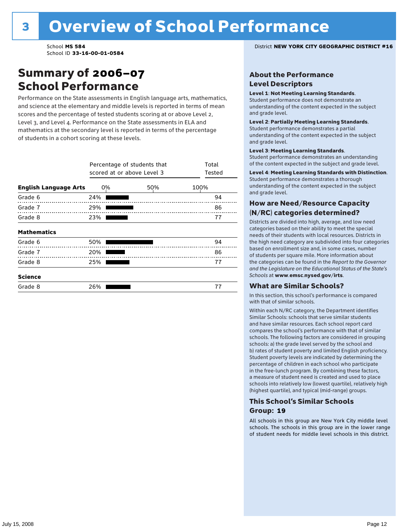### Summary of 2006–07 School Performance

Performance on the State assessments in English language arts, mathematics, and science at the elementary and middle levels is reported in terms of mean scores and the percentage of tested students scoring at or above Level 2, Level 3, and Level 4. Performance on the State assessments in ELA and mathematics at the secondary level is reported in terms of the percentage of students in a cohort scoring at these levels.

|                              | Percentage of students that<br>scored at or above Level 3 | Total<br>Tested |      |
|------------------------------|-----------------------------------------------------------|-----------------|------|
| <b>English Language Arts</b> | 0%                                                        | 50%             | 100% |
| Grade 6                      | 24%                                                       |                 | 94   |
| Grade 7                      | 29%                                                       |                 | 86   |
| Grade 8                      | 23%                                                       |                 | 77   |
| <b>Mathematics</b>           |                                                           |                 |      |
| Grade 6                      | 50%                                                       |                 | 94   |
| Grade 7                      | 20%                                                       |                 | 86   |
| Grade 8                      | 25%                                                       |                 | 77   |
| <b>Science</b>               |                                                           |                 |      |
| Grade 8                      | 26%                                                       |                 | 77   |

School **MS 584** District **NEW YORK CITY GEOGRAPHIC DISTRICT #16**

### About the Performance Level Descriptors

#### Level 1: Not Meeting Learning Standards.

Student performance does not demonstrate an understanding of the content expected in the subject and grade level.

#### Level 2: Partially Meeting Learning Standards.

Student performance demonstrates a partial understanding of the content expected in the subject and grade level.

#### Level 3: Meeting Learning Standards.

Student performance demonstrates an understanding of the content expected in the subject and grade level.

#### Level 4: Meeting Learning Standards with Distinction.

Student performance demonstrates a thorough understanding of the content expected in the subject and grade level.

### How are Need/Resource Capacity (N/RC) categories determined?

Districts are divided into high, average, and low need categories based on their ability to meet the special needs of their students with local resources. Districts in the high need category are subdivided into four categories based on enrollment size and, in some cases, number of students per square mile. More information about the categories can be found in the *Report to the Governor and the Legislature on the Educational Status of the State's Schools* at www.emsc.nysed.gov/irts.

#### What are Similar Schools?

In this section, this school's performance is compared with that of similar schools.

Within each N/RC category, the Department identifies Similar Schools: schools that serve similar students and have similar resources. Each school report card compares the school's performance with that of similar schools. The following factors are considered in grouping schools: a) the grade level served by the school and b) rates of student poverty and limited English proficiency. Student poverty levels are indicated by determining the percentage of children in each school who participate in the free-lunch program. By combining these factors, a measure of student need is created and used to place schools into relatively low (lowest quartile), relatively high (highest quartile), and typical (mid-range) groups.

### This School's Similar Schools Group: **19**

All schools in this group are New York City middle level schools. The schools in this group are in the lower range of student needs for middle level schools in this district.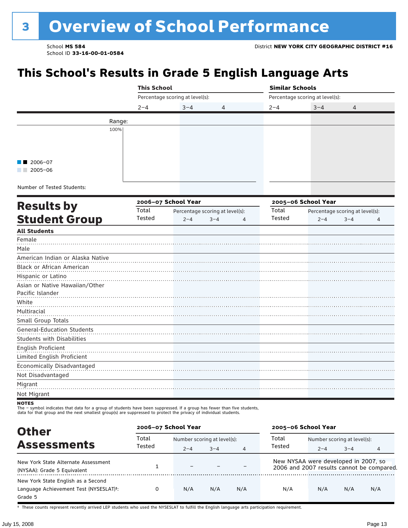# <sup>3</sup> Overview of School Performance

School ID **33-16-00-01-0584**

# **This School's Results in Grade 5 English Language Arts**

|                                                  | <b>This School</b> |                                 |                                 | <b>Similar Schools</b> |                                 |                                 |                |  |
|--------------------------------------------------|--------------------|---------------------------------|---------------------------------|------------------------|---------------------------------|---------------------------------|----------------|--|
|                                                  |                    | Percentage scoring at level(s): |                                 |                        | Percentage scoring at level(s): |                                 |                |  |
|                                                  | $2 - 4$            | $3 - 4$                         | 4                               | $2 - 4$                | $3 - 4$                         | 4                               |                |  |
| Range:                                           |                    |                                 |                                 |                        |                                 |                                 |                |  |
| 100%                                             |                    |                                 |                                 |                        |                                 |                                 |                |  |
|                                                  |                    |                                 |                                 |                        |                                 |                                 |                |  |
|                                                  |                    |                                 |                                 |                        |                                 |                                 |                |  |
|                                                  |                    |                                 |                                 |                        |                                 |                                 |                |  |
| 2006-07<br>$\blacksquare$ 2005-06                |                    |                                 |                                 |                        |                                 |                                 |                |  |
|                                                  |                    |                                 |                                 |                        |                                 |                                 |                |  |
| Number of Tested Students:                       |                    |                                 |                                 |                        |                                 |                                 |                |  |
| <b>Results by</b>                                |                    | 2006-07 School Year             |                                 |                        | 2005-06 School Year             |                                 |                |  |
|                                                  | Total              |                                 | Percentage scoring at level(s): | Total                  |                                 | Percentage scoring at level(s): |                |  |
| <b>Student Group</b>                             | Tested             | $2 - 4$                         | $3 - 4$<br>$\overline{4}$       | Tested                 | $2 - 4$                         | $3 - 4$                         | $\overline{4}$ |  |
| <b>All Students</b>                              |                    |                                 |                                 |                        |                                 |                                 |                |  |
| Female                                           |                    |                                 |                                 |                        |                                 |                                 |                |  |
| Male                                             |                    |                                 |                                 |                        |                                 |                                 |                |  |
| American Indian or Alaska Native                 |                    |                                 |                                 |                        |                                 |                                 |                |  |
| Black or African American                        |                    |                                 |                                 |                        |                                 |                                 |                |  |
| Hispanic or Latino                               |                    |                                 |                                 |                        |                                 |                                 |                |  |
| Asian or Native Hawaiian/Other                   |                    |                                 |                                 |                        |                                 |                                 |                |  |
| Pacific Islander                                 |                    |                                 |                                 |                        |                                 |                                 |                |  |
| White                                            |                    |                                 |                                 |                        |                                 |                                 |                |  |
| Multiracial                                      |                    |                                 |                                 |                        |                                 |                                 |                |  |
| Small Group Totals                               |                    |                                 |                                 |                        |                                 |                                 |                |  |
| <b>General-Education Students</b>                |                    |                                 |                                 |                        |                                 |                                 |                |  |
| Students with Disabilities                       |                    |                                 |                                 |                        |                                 |                                 |                |  |
| English Proficient<br>Limited English Proficient |                    |                                 |                                 |                        |                                 |                                 |                |  |
| Economically Disadvantaged                       |                    |                                 |                                 |                        |                                 |                                 |                |  |
| Not Disadvantaged                                |                    |                                 |                                 |                        |                                 |                                 |                |  |
| Migrant                                          |                    |                                 |                                 |                        |                                 |                                 |                |  |
| Not Migrant                                      |                    |                                 |                                 |                        |                                 |                                 |                |  |
| <b>NOTES</b>                                     |                    |                                 |                                 |                        |                                 |                                 |                |  |

The – symbol indicates that data for a group of students have been suppressed. If a group has fewer than five students,<br>data for that group and the next smallest group(s) are suppressed to protect the privacy of individual

| <b>Other</b>                                                                                         | 2006-07 School Year |                             |         |     | 2005-06 School Year                                                               |                             |         |     |
|------------------------------------------------------------------------------------------------------|---------------------|-----------------------------|---------|-----|-----------------------------------------------------------------------------------|-----------------------------|---------|-----|
| <b>Assessments</b>                                                                                   | Total<br>Tested     | Number scoring at level(s): |         |     | Total                                                                             | Number scoring at level(s): |         |     |
|                                                                                                      |                     | $2 - 4$                     | $3 - 4$ | 4   | Tested                                                                            | $2 - 4$                     | $3 - 4$ |     |
| New York State Alternate Assessment<br>(NYSAA): Grade 5 Equivalent                                   |                     |                             |         |     | New NYSAA were developed in 2007, so<br>2006 and 2007 results cannot be compared. |                             |         |     |
| New York State English as a Second<br>Language Achievement Test (NYSESLAT) <sup>+</sup> :<br>Grade 5 |                     | N/A                         | N/A     | N/A | N/A                                                                               | N/A                         | N/A     | N/A |

† These counts represent recently arrived LEP students who used the NYSESLAT to fulfill the English language arts participation requirement.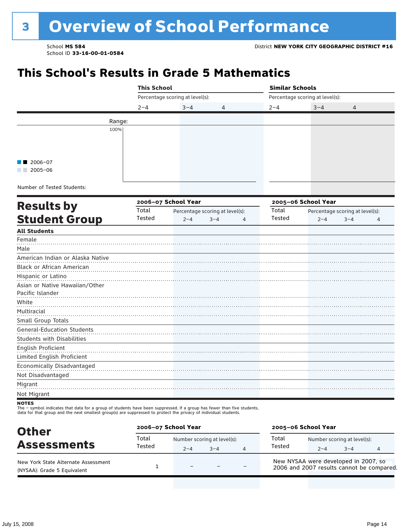### **This School's Results in Grade 5 Mathematics**

|                                                                                                                                         | <b>This School</b> |                                 |                                 | <b>Similar Schools</b> |                                 |                                 |                |  |  |
|-----------------------------------------------------------------------------------------------------------------------------------------|--------------------|---------------------------------|---------------------------------|------------------------|---------------------------------|---------------------------------|----------------|--|--|
|                                                                                                                                         |                    | Percentage scoring at level(s): |                                 |                        | Percentage scoring at level(s): |                                 |                |  |  |
|                                                                                                                                         | $2 - 4$            | $3 - 4$                         | 4                               | $2 - 4$                | $3 - 4$                         | 4                               |                |  |  |
| Range:                                                                                                                                  |                    |                                 |                                 |                        |                                 |                                 |                |  |  |
| 100%                                                                                                                                    |                    |                                 |                                 |                        |                                 |                                 |                |  |  |
|                                                                                                                                         |                    |                                 |                                 |                        |                                 |                                 |                |  |  |
|                                                                                                                                         |                    |                                 |                                 |                        |                                 |                                 |                |  |  |
|                                                                                                                                         |                    |                                 |                                 |                        |                                 |                                 |                |  |  |
| 2006-07                                                                                                                                 |                    |                                 |                                 |                        |                                 |                                 |                |  |  |
| $2005 - 06$                                                                                                                             |                    |                                 |                                 |                        |                                 |                                 |                |  |  |
| Number of Tested Students:                                                                                                              |                    |                                 |                                 |                        |                                 |                                 |                |  |  |
|                                                                                                                                         |                    | 2006-07 School Year             |                                 |                        | 2005-06 School Year             |                                 |                |  |  |
| <b>Results by</b>                                                                                                                       | Total              |                                 | Percentage scoring at level(s): | Total                  |                                 | Percentage scoring at level(s): |                |  |  |
| <b>Student Group</b>                                                                                                                    | Tested             | $2 - 4$                         | $3 - 4$<br>$\overline{4}$       | Tested                 | $2 - 4$                         | $3 - 4$                         | $\overline{4}$ |  |  |
| <b>All Students</b>                                                                                                                     |                    |                                 |                                 |                        |                                 |                                 |                |  |  |
| Female                                                                                                                                  |                    |                                 |                                 |                        |                                 |                                 |                |  |  |
| Male                                                                                                                                    |                    |                                 |                                 |                        |                                 |                                 |                |  |  |
| American Indian or Alaska Native                                                                                                        |                    |                                 |                                 |                        |                                 |                                 |                |  |  |
| Black or African American                                                                                                               |                    |                                 |                                 |                        |                                 |                                 |                |  |  |
| Hispanic or Latino                                                                                                                      |                    |                                 |                                 |                        |                                 |                                 |                |  |  |
| Asian or Native Hawaiian/Other                                                                                                          |                    |                                 |                                 |                        |                                 |                                 |                |  |  |
| Pacific Islander                                                                                                                        |                    |                                 |                                 |                        |                                 |                                 |                |  |  |
| White                                                                                                                                   |                    |                                 |                                 |                        |                                 |                                 |                |  |  |
| Multiracial                                                                                                                             |                    |                                 |                                 |                        |                                 |                                 |                |  |  |
| Small Group Totals                                                                                                                      |                    |                                 |                                 |                        |                                 |                                 |                |  |  |
| <b>General-Education Students</b><br><b>Students with Disabilities</b>                                                                  |                    |                                 |                                 |                        |                                 |                                 |                |  |  |
| English Proficient                                                                                                                      |                    |                                 |                                 |                        |                                 |                                 |                |  |  |
| Limited English Proficient                                                                                                              |                    |                                 |                                 |                        |                                 |                                 |                |  |  |
| Economically Disadvantaged                                                                                                              |                    |                                 |                                 |                        |                                 |                                 |                |  |  |
| Not Disadvantaged                                                                                                                       |                    |                                 |                                 |                        |                                 |                                 |                |  |  |
| Migrant                                                                                                                                 |                    |                                 |                                 |                        |                                 |                                 |                |  |  |
| Not Migrant                                                                                                                             |                    |                                 |                                 |                        |                                 |                                 |                |  |  |
| <b>NOTES</b><br>The - symbol indicates that data for a group of students have been suppressed. If a group has fewer than five students, |                    |                                 |                                 |                        |                                 |                                 |                |  |  |

data for that group and the next smallest group(s) are suppressed to protect the privacy of individual students.

| <b>Other</b>                                                       | 2006-07 School Year |                          |                                     |                | 2005-06 School Year                                                               |         |                                        |  |
|--------------------------------------------------------------------|---------------------|--------------------------|-------------------------------------|----------------|-----------------------------------------------------------------------------------|---------|----------------------------------------|--|
| <b>Assessments</b>                                                 | Total<br>Tested     | $2 - 4$                  | Number scoring at level(s):<br>$-4$ | $\overline{a}$ | Total<br>Tested                                                                   | $2 - 4$ | Number scoring at level(s):<br>$3 - 4$ |  |
| New York State Alternate Assessment<br>(NYSAA): Grade 5 Equivalent |                     | $\overline{\phantom{0}}$ |                                     |                | New NYSAA were developed in 2007, so<br>2006 and 2007 results cannot be compared. |         |                                        |  |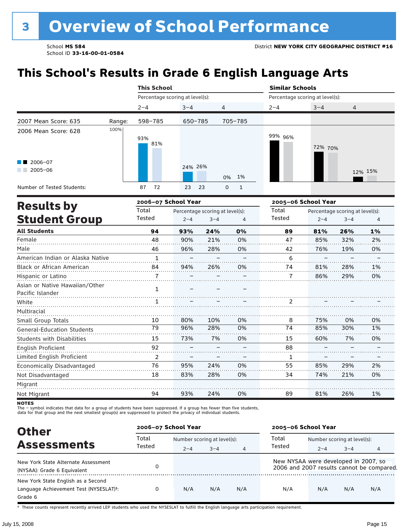# **This School's Results in Grade 6 English Language Arts**

|                                                                       |        | <b>This School</b>  |                                 |                                 |         | <b>Similar Schools</b>          |                                 |         |  |  |
|-----------------------------------------------------------------------|--------|---------------------|---------------------------------|---------------------------------|---------|---------------------------------|---------------------------------|---------|--|--|
|                                                                       |        |                     | Percentage scoring at level(s): |                                 |         | Percentage scoring at level(s): |                                 |         |  |  |
|                                                                       |        | $2 - 4$             | $3 - 4$                         | 4                               | $2 - 4$ | $3 - 4$                         | 4                               |         |  |  |
| 2007 Mean Score: 635                                                  | Range: | 598-785             | 650-785                         | 705-785                         |         |                                 |                                 |         |  |  |
| 2006 Mean Score: 628<br>$\blacksquare$ 2006-07<br>$2005 - 06$<br>a ka | 100%   | 93%<br>81%          | 24% 26%                         | 0% 1%                           | 99% 96% | 72% 70%                         |                                 | 12% 15% |  |  |
| Number of Tested Students:                                            |        | 72<br>87            | 23<br>23                        | $\Omega$<br>$\mathbf{1}$        |         |                                 |                                 |         |  |  |
|                                                                       |        | 2006-07 School Year |                                 |                                 |         | 2005-06 School Year             |                                 |         |  |  |
| <b>Results by</b>                                                     |        | Total               |                                 | Percentage scoring at level(s): | Total   |                                 | Percentage scoring at level(s): |         |  |  |
| <b>Student Group</b>                                                  |        | Tested              | $2 - 4$                         | $3 - 4$<br>$\overline{4}$       | Tested  | $2 - 4$                         | $3 - 4$                         | 4       |  |  |
| <b>All Students</b>                                                   |        | 94                  | 93%                             | 0%<br>24%                       | 89      | 81%                             | 26%                             | $1\%$   |  |  |

| Au Juucillo                                        | 94 | <b>9570</b> | Z470 | U70 | 99 | <b>QT30</b> | 4070 | -470 |
|----------------------------------------------------|----|-------------|------|-----|----|-------------|------|------|
| Female                                             | 48 | 90%         | 21%  | 0%  | 47 | 85%         | 32%  | 2%   |
| Male                                               | 46 | 96%         | 28%  | 0%  | 42 | 76%         | 19%  | 0%   |
| American Indian or Alaska Native                   | 1  |             |      |     | 6  |             |      |      |
| Black or African American                          | 84 | 94%         | 26%  | 0%  | 74 | 81%         | 28%  | 1%   |
| Hispanic or Latino                                 |    |             |      |     | 7  | 86%         | 29%  | 0%   |
| Asian or Native Hawaiian/Other<br>Pacific Islander | 1  |             |      |     |    |             |      |      |
| White                                              |    |             |      |     | 2  |             |      |      |
| Multiracial                                        |    |             |      |     |    |             |      |      |
| Small Group Totals                                 | 10 | 80%         | 10%  | 0%  | 8  | 75%         | 0%   | 0%   |
| <b>General-Education Students</b>                  | 79 | 96%         | 28%  | 0%  | 74 | 85%         | 30%  | 1%   |
| <b>Students with Disabilities</b>                  | 15 | 73%         | 7%   | 0%  | 15 | 60%         | 7%   | 0%   |
| English Proficient                                 | 92 |             |      |     | 88 |             |      |      |
| Limited English Proficient                         | 2  |             |      |     | 1  |             |      |      |
| Economically Disadvantaged                         | 76 | 95%         | 24%  | 0%  | 55 | 85%         | 29%  | 2%   |
| Not Disadvantaged                                  | 18 | 83%         | 28%  | 0%  | 34 | 74%         | 21%  | 0%   |
| Migrant                                            |    |             |      |     |    |             |      |      |
| Not Migrant                                        | 94 | 93%         | 24%  | 0%  | 89 | 81%         | 26%  | 1%   |
|                                                    |    |             |      |     |    |             |      |      |

**NOTES** 

The – symbol indicates that data for a group of students have been suppressed. If a group has fewer than five students,<br>data for that group and the next smallest group(s) are suppressed to protect the privacy of individual

| <b>Other</b>                                                                                         | 2006-07 School Year |         |                             |                | 2005-06 School Year                  |                             |         |                                           |
|------------------------------------------------------------------------------------------------------|---------------------|---------|-----------------------------|----------------|--------------------------------------|-----------------------------|---------|-------------------------------------------|
|                                                                                                      | Total               |         | Number scoring at level(s): |                |                                      | Number scoring at level(s): |         |                                           |
| <b>Assessments</b>                                                                                   | Tested              | $2 - 4$ | $3 - 4$                     | $\overline{4}$ | Tested                               | $2 - 4$                     | $3 - 4$ |                                           |
| New York State Alternate Assessment<br>(NYSAA): Grade 6 Equivalent                                   |                     |         |                             |                | New NYSAA were developed in 2007, so |                             |         | 2006 and 2007 results cannot be compared. |
| New York State English as a Second<br>Language Achievement Test (NYSESLAT) <sup>+</sup> :<br>Grade 6 |                     | N/A     | N/A                         | N/A            | N/A                                  | N/A                         | N/A     | N/A                                       |

† These counts represent recently arrived LEP students who used the NYSESLAT to fulfill the English language arts participation requirement.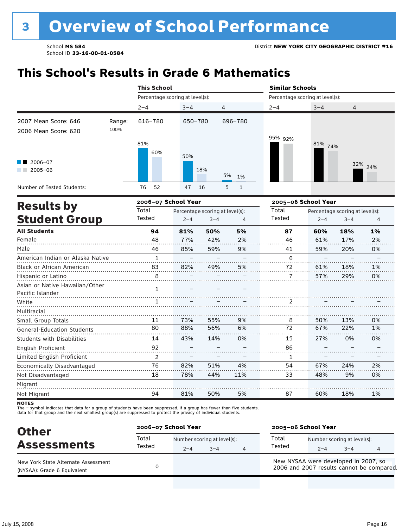### **This School's Results in Grade 6 Mathematics**

|                                                           |        | <b>This School</b>              |            |                                |                                 | <b>Similar Schools</b> |         |  |  |  |
|-----------------------------------------------------------|--------|---------------------------------|------------|--------------------------------|---------------------------------|------------------------|---------|--|--|--|
|                                                           |        | Percentage scoring at level(s): |            |                                | Percentage scoring at level(s): |                        |         |  |  |  |
|                                                           |        | $2 - 4$                         | $3 - 4$    | 4                              | $2 - 4$                         | $3 - 4$                | 4       |  |  |  |
| 2007 Mean Score: 646                                      | Range: | 616-780                         | 650-780    | 696-780                        |                                 |                        |         |  |  |  |
| 2006 Mean Score: 620<br>$\blacksquare$ 2006-07<br>2005-06 | 100%   | 81%<br>60%                      | 50%<br>18% | 5%<br>1%                       | 95% 92%                         | 81% 74%                | 32% 24% |  |  |  |
| Number of Tested Students:                                |        | 52<br>76                        | 16<br>47   | 5 <sup>5</sup><br>$\mathbf{1}$ |                                 |                        |         |  |  |  |
| Deedle ku                                                 |        | 2006-07 School Year             |            |                                |                                 | 2005-06 School Year    |         |  |  |  |

| <b>Results by</b>                                  |        | 2006–07 School Year |                                 |     | 2005–06 School Year |         |                                 |    |
|----------------------------------------------------|--------|---------------------|---------------------------------|-----|---------------------|---------|---------------------------------|----|
|                                                    | Total  |                     | Percentage scoring at level(s): |     | Total               |         | Percentage scoring at level(s): |    |
| <b>Student Group</b>                               | Tested | $2 - 4$             | $3 - 4$                         | 4   | Tested              | $2 - 4$ | $3 - 4$                         | 4  |
| <b>All Students</b>                                | 94     | 81%                 | 50%                             | 5%  | 87                  | 60%     | 18%                             | 1% |
| Female                                             | 48     | 77%                 | 42%                             | 2%  | 46                  | 61%     | 17%                             | 2% |
| Male                                               | 46     | 85%                 | 59%                             | 9%  | 41                  | 59%     | 20%                             | 0% |
| American Indian or Alaska Native                   | 1      |                     |                                 |     | 6                   |         |                                 |    |
| Black or African American                          | 83     | 82%                 | 49%                             | 5%  | 72                  | 61%     | 18%                             | 1% |
| Hispanic or Latino                                 | 8      |                     |                                 |     | 7                   | 57%     | 29%                             | 0% |
| Asian or Native Hawaiian/Other<br>Pacific Islander | 1      |                     |                                 |     |                     |         |                                 |    |
| White                                              | 1      |                     |                                 |     | $\overline{2}$      |         |                                 |    |
| Multiracial                                        |        |                     |                                 |     |                     |         |                                 |    |
| Small Group Totals                                 | 11     | 73%                 | 55%                             | 9%  | 8                   | 50%     | 13%                             | 0% |
| <b>General-Education Students</b>                  | 80     | 88%                 | 56%                             | 6%  | 72                  | 67%     | 22%                             | 1% |
| <b>Students with Disabilities</b>                  | 14     | 43%                 | 14%                             | 0%  | 15                  | 27%     | 0%                              | 0% |
| <b>English Proficient</b>                          | 92     |                     |                                 |     | 86                  |         |                                 |    |
| Limited English Proficient                         | 2      |                     |                                 |     | 1                   |         |                                 |    |
| Economically Disadvantaged                         | 76     | 82%                 | 51%                             | 4%  | 54                  | 67%     | 24%                             | 2% |
| Not Disadvantaged                                  | 18     | 78%                 | 44%                             | 11% | 33                  | 48%     | 9%                              | 0% |
| Migrant                                            |        |                     |                                 |     |                     |         |                                 |    |
| Not Migrant                                        | 94     | 81%                 | 50%                             | 5%  | 87                  | 60%     | 18%                             | 1% |

**NOTES** 

The – symbol indicates that data for a group of students have been suppressed. If a group has fewer than five students,<br>data for that group and the next smallest group(s) are suppressed to protect the privacy of individual

| <b>Other</b>                                                       | 2006-07 School Year |                                                   |  |  | 2005-06 School Year                                                               |                                        |         |  |
|--------------------------------------------------------------------|---------------------|---------------------------------------------------|--|--|-----------------------------------------------------------------------------------|----------------------------------------|---------|--|
| <b>Assessments</b>                                                 | Total<br>Tested     | Number scoring at level(s):<br>$3 - 4$<br>$2 - 4$ |  |  | Total<br>Tested                                                                   | Number scoring at level(s):<br>$2 - 4$ | $3 - 4$ |  |
| New York State Alternate Assessment<br>(NYSAA): Grade 6 Equivalent |                     |                                                   |  |  | New NYSAA were developed in 2007, so<br>2006 and 2007 results cannot be compared. |                                        |         |  |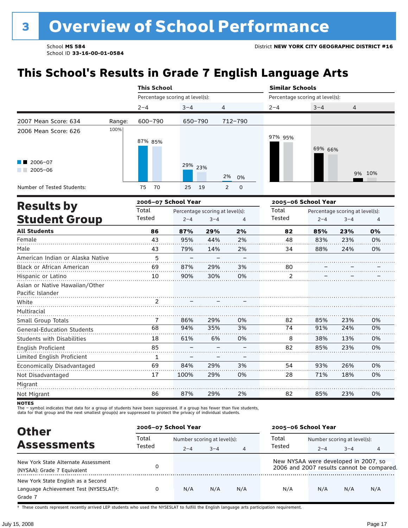# **This School's Results in Grade 7 English Language Arts**

|                                  |        | <b>This School</b>              |         |         |                                 |                                 | <b>Similar Schools</b> |                                 |        |  |  |
|----------------------------------|--------|---------------------------------|---------|---------|---------------------------------|---------------------------------|------------------------|---------------------------------|--------|--|--|
|                                  |        | Percentage scoring at level(s): |         |         |                                 | Percentage scoring at level(s): |                        |                                 |        |  |  |
|                                  |        | $2 - 4$                         | $3 - 4$ |         | 4                               | $2 - 4$                         | $3 - 4$                | 4                               |        |  |  |
| 2007 Mean Score: 634             | Range: | 600-790                         | 650-790 |         | 712-790                         |                                 |                        |                                 |        |  |  |
| 2006 Mean Score: 626             | 100%   | 87% 85%                         |         |         |                                 | 97% 95%                         | 69% 66%                |                                 |        |  |  |
| $\blacksquare$ 2006-07           |        |                                 | 29% 23% |         |                                 |                                 |                        |                                 |        |  |  |
| $2005 - 06$                      |        |                                 |         |         | 2%<br>0%                        |                                 |                        |                                 | 9% 10% |  |  |
| Number of Tested Students:       |        | 70<br>75                        | 25      | 19      | 2<br>$\mathbf 0$                |                                 |                        |                                 |        |  |  |
|                                  |        | 2006-07 School Year             |         |         |                                 |                                 | 2005-06 School Year    |                                 |        |  |  |
| <b>Results by</b>                |        | Total                           |         |         | Percentage scoring at level(s): | Total                           |                        | Percentage scoring at level(s): |        |  |  |
| <b>Student Group</b>             |        | Tested                          | $2 - 4$ | $3 - 4$ | 4                               | Tested                          | $2 - 4$                | $3 - 4$                         | 4      |  |  |
| <b>All Students</b>              |        | 86                              | 87%     | 29%     | 2%                              | 82                              | 85%                    | 23%                             | 0%     |  |  |
| Female                           |        | 43                              | 95%     | 44%     | 2%                              | 48                              | 83%                    | 23%                             | 0%     |  |  |
| Male                             |        | 43                              | 79%     | 14%     | 2%                              | 34                              | 88%                    | 24%                             | 0%     |  |  |
| American Indian or Alaska Native |        | 5                               |         |         |                                 |                                 |                        |                                 |        |  |  |
| Black or African American        |        | 69                              | 87%     | 29%     | 3%                              | 80                              |                        |                                 |        |  |  |

| <b>Black or African American</b>  | 69 | 87%  | 29% | 3% | 80 |     |     |    |
|-----------------------------------|----|------|-----|----|----|-----|-----|----|
| Hispanic or Latino                | 10 | 90%  | 30% | 0% |    |     |     |    |
| Asian or Native Hawaiian/Other    |    |      |     |    |    |     |     |    |
| Pacific Islander                  |    |      |     |    |    |     |     |    |
| White                             |    |      |     |    |    |     |     |    |
| Multiracial                       |    |      |     |    |    |     |     |    |
| Small Group Totals                |    | 86%  | 29% | 0% | 82 | 85% | 23% | 0% |
| <b>General-Education Students</b> | 68 | 94%  | 35% | 3% | 74 | 91% | 24% | 0% |
| <b>Students with Disabilities</b> | 18 | 61%  | 6%  | 0% | 8  | 38% | 13% | 0% |
| English Proficient                | 85 |      |     |    | 82 | 85% | 23% | 0% |
| Limited English Proficient        |    |      |     |    |    |     |     |    |
| Economically Disadvantaged        | 69 | 84%  | 29% | 3% | 54 | 93% | 26% | 0% |
| Not Disadvantaged                 | 17 | 100% | 29% | 0% | 28 | 71% | 18% | 0% |
| Migrant                           |    |      |     |    |    |     |     |    |
| Not Migrant                       | 86 | 87%  | 29% | 2% | 82 | 85% | 23% | 0% |

**NOTES** 

The – symbol indicates that data for a group of students have been suppressed. If a group has fewer than five students,<br>data for that group and the next smallest group(s) are suppressed to protect the privacy of individual

| <b>Other</b>                                                                                         | 2006-07 School Year |                             |         |     | 2005-06 School Year                  |                             |         |                                           |
|------------------------------------------------------------------------------------------------------|---------------------|-----------------------------|---------|-----|--------------------------------------|-----------------------------|---------|-------------------------------------------|
|                                                                                                      | Total               | Number scoring at level(s): |         |     | Total                                | Number scoring at level(s): |         |                                           |
| <b>Assessments</b>                                                                                   | Tested              | $2 - 4$                     | $3 - 4$ | 4   | Tested                               | $2 - 4$                     | $3 - 4$ |                                           |
| New York State Alternate Assessment<br>(NYSAA): Grade 7 Equivalent                                   |                     |                             |         |     | New NYSAA were developed in 2007, so |                             |         | 2006 and 2007 results cannot be compared. |
| New York State English as a Second<br>Language Achievement Test (NYSESLAT) <sup>+</sup> :<br>Grade 7 |                     | N/A                         | N/A     | N/A | N/A                                  | N/A                         | N/A     | N/A                                       |

† These counts represent recently arrived LEP students who used the NYSESLAT to fulfill the English language arts participation requirement.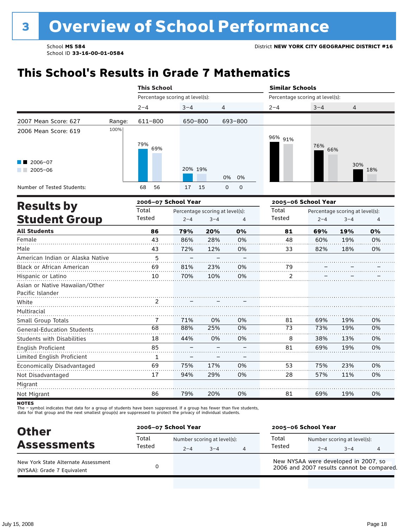### **This School's Results in Grade 7 Mathematics**

|                                                    |                                                                                                                                                                                                                                                                                                                                                                                 |     |     |    | <b>Similar Schools</b>          |            |                                 |     |  |
|----------------------------------------------------|---------------------------------------------------------------------------------------------------------------------------------------------------------------------------------------------------------------------------------------------------------------------------------------------------------------------------------------------------------------------------------|-----|-----|----|---------------------------------|------------|---------------------------------|-----|--|
|                                                    | <b>This School</b><br>Percentage scoring at level(s):<br>$2 - 4$<br>$3 - 4$<br>4<br>611-800<br>693-800<br>650-800<br>79%<br>69%<br>20% 19%<br>0%<br>68<br>56<br>15<br>$\mathbf 0$<br>$\mathbf 0$<br>17<br>2006-07 School Year<br>Total<br>Percentage scoring at level(s):<br>Tested<br>$2 - 4$<br>$3 - 4$<br>$\overline{4}$<br>0%<br>86<br>79%<br>20%<br>43<br>28%<br>0%<br>86% |     |     |    | Percentage scoring at level(s): |            |                                 |     |  |
|                                                    |                                                                                                                                                                                                                                                                                                                                                                                 |     |     |    | $2 - 4$                         | $3 - 4$    | 4                               |     |  |
| 2007 Mean Score: 627<br>Range:                     |                                                                                                                                                                                                                                                                                                                                                                                 |     |     |    |                                 |            |                                 |     |  |
| 100%<br>2006 Mean Score: 619                       |                                                                                                                                                                                                                                                                                                                                                                                 |     |     |    | 96% 91%                         | 76%<br>66% |                                 |     |  |
| $2006 - 07$<br>$2005 - 06$                         |                                                                                                                                                                                                                                                                                                                                                                                 |     |     | 0% |                                 |            | 30%                             | 18% |  |
| Number of Tested Students:                         |                                                                                                                                                                                                                                                                                                                                                                                 |     |     |    |                                 |            |                                 |     |  |
| <b>Results by</b>                                  |                                                                                                                                                                                                                                                                                                                                                                                 |     |     |    | 2005-06 School Year             |            |                                 |     |  |
|                                                    |                                                                                                                                                                                                                                                                                                                                                                                 |     |     |    | Total<br>Tested                 |            | Percentage scoring at level(s): |     |  |
| <b>Student Group</b>                               |                                                                                                                                                                                                                                                                                                                                                                                 |     |     |    |                                 | $2 - 4$    | $3 - 4$                         | 4   |  |
| <b>All Students</b>                                |                                                                                                                                                                                                                                                                                                                                                                                 |     |     |    | 81                              | 69%        | 19%                             | 0%  |  |
| Female                                             |                                                                                                                                                                                                                                                                                                                                                                                 |     |     |    | 48                              | 60%        | 19%                             | 0%  |  |
| Male                                               | 43                                                                                                                                                                                                                                                                                                                                                                              | 72% | 12% | 0% | 33                              | 82%        | 18%                             | 0%  |  |
| American Indian or Alaska Native                   | 5                                                                                                                                                                                                                                                                                                                                                                               |     |     |    |                                 |            |                                 |     |  |
| Black or African American                          | 69                                                                                                                                                                                                                                                                                                                                                                              | 81% | 23% | 0% | 79                              |            |                                 |     |  |
| Hispanic or Latino                                 | 10                                                                                                                                                                                                                                                                                                                                                                              | 70% | 10% | 0% | 2                               |            |                                 |     |  |
| Asian or Native Hawaiian/Other<br>Pacific Islander |                                                                                                                                                                                                                                                                                                                                                                                 |     |     |    |                                 |            |                                 |     |  |
| White                                              | 2                                                                                                                                                                                                                                                                                                                                                                               |     |     |    |                                 |            |                                 |     |  |
| Multiracial                                        |                                                                                                                                                                                                                                                                                                                                                                                 |     |     |    |                                 |            |                                 |     |  |
| Small Group Totals                                 | 7                                                                                                                                                                                                                                                                                                                                                                               | 71% | 0%  | 0% | 81                              | 69%        | 19%                             | 0%  |  |
| <b>General-Education Students</b>                  | 68                                                                                                                                                                                                                                                                                                                                                                              | 88% | 25% | 0% | 73                              | 73%        | 19%                             | 0%  |  |
| <b>Students with Disabilities</b>                  | 18                                                                                                                                                                                                                                                                                                                                                                              | 44% | 0%  | 0% | 8                               | 38%        | 13%                             | 0%  |  |
| <b>English Proficient</b>                          | 85                                                                                                                                                                                                                                                                                                                                                                              |     |     |    | 81                              | 69%        | 19%                             | 0%  |  |
| Limited English Proficient                         | $\mathbf{1}$                                                                                                                                                                                                                                                                                                                                                                    |     |     |    |                                 |            |                                 |     |  |
| Economically Disadvantaged                         | 69                                                                                                                                                                                                                                                                                                                                                                              | 75% | 17% | 0% | 53                              | 75%        | 23%                             | 0%  |  |
| Not Disadvantaged                                  | 17                                                                                                                                                                                                                                                                                                                                                                              | 94% | 29% | 0% | 28                              | 57%        | 11%                             | 0%  |  |
| Migrant                                            |                                                                                                                                                                                                                                                                                                                                                                                 |     |     |    |                                 |            |                                 |     |  |
| Not Migrant                                        | 86                                                                                                                                                                                                                                                                                                                                                                              | 79% | 20% | 0% | 81                              | 69%        | 19%                             | 0%  |  |

**NOTES** 

The – symbol indicates that data for a group of students have been suppressed. If a group has fewer than five students,<br>data for that group and the next smallest group(s) are suppressed to protect the privacy of individual

| <b>Other</b>                                                       | 2006-07 School Year |                                        |         |   | 2005-06 School Year                                                               |         |                                        |  |  |
|--------------------------------------------------------------------|---------------------|----------------------------------------|---------|---|-----------------------------------------------------------------------------------|---------|----------------------------------------|--|--|
| <b>Assessments</b>                                                 | Total<br>Tested     | Number scoring at level(s):<br>$2 - 4$ | $3 - 4$ | 4 | Total<br>Tested                                                                   | $2 - 4$ | Number scoring at level(s):<br>$3 - 4$ |  |  |
| New York State Alternate Assessment<br>(NYSAA): Grade 7 Equivalent |                     |                                        |         |   | New NYSAA were developed in 2007, so<br>2006 and 2007 results cannot be compared. |         |                                        |  |  |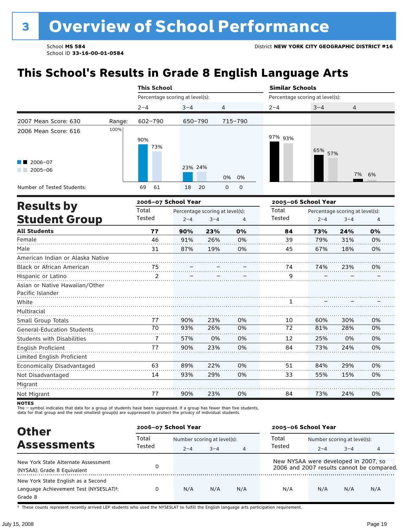# **This School's Results in Grade 8 English Language Arts**

|                                   |        |             |                                                                                                                                                                                                                                                                                                                                                                                                        |     |    | <b>Similar Schools</b> |            |                                 |                |  |
|-----------------------------------|--------|-------------|--------------------------------------------------------------------------------------------------------------------------------------------------------------------------------------------------------------------------------------------------------------------------------------------------------------------------------------------------------------------------------------------------------|-----|----|------------------------|------------|---------------------------------|----------------|--|
|                                   |        |             | <b>This School</b><br>Percentage scoring at level(s):<br>Percentage scoring at level(s):<br>$3 - 4$<br>4<br>$2 - 4$<br>650-790<br>715-790<br>97% 93%<br>73%<br>23% 24%<br>0%<br>0%<br>0<br>69<br>61<br>18<br>20<br>$\mathbf 0$<br>2006-07 School Year<br>Total<br>Percentage scoring at level(s):<br>Tested<br>$2 - 4$<br>$3 - 4$<br>4<br>77<br>0%<br>90%<br>23%<br>84<br>46<br>26%<br>39<br>91%<br>0% |     |    |                        |            |                                 |                |  |
|                                   |        | $2 - 4$     |                                                                                                                                                                                                                                                                                                                                                                                                        |     |    |                        | $3 - 4$    | 4                               |                |  |
| 2007 Mean Score: 630              | Range: | $602 - 790$ |                                                                                                                                                                                                                                                                                                                                                                                                        |     |    |                        |            |                                 |                |  |
| 2006 Mean Score: 616              | 100%   | 90%         |                                                                                                                                                                                                                                                                                                                                                                                                        |     |    |                        | 65%<br>57% |                                 |                |  |
| 2006-07<br>$2005 - 06$            |        |             |                                                                                                                                                                                                                                                                                                                                                                                                        |     |    |                        |            | 7%                              | 6%             |  |
| Number of Tested Students:        |        |             |                                                                                                                                                                                                                                                                                                                                                                                                        |     |    |                        |            |                                 |                |  |
|                                   |        |             |                                                                                                                                                                                                                                                                                                                                                                                                        |     |    | 2005-06 School Year    |            |                                 |                |  |
| <b>Results by</b>                 |        | Total       |                                                                                                                                                                                                                                                                                                                                                                                                        |     |    |                        |            | Percentage scoring at level(s): |                |  |
| <b>Student Group</b>              |        | Tested      |                                                                                                                                                                                                                                                                                                                                                                                                        |     |    |                        | $2 - 4$    | $3 - 4$                         | $\overline{4}$ |  |
| <b>All Students</b>               |        |             |                                                                                                                                                                                                                                                                                                                                                                                                        |     |    |                        | 73%        | 24%                             | 0%             |  |
| Female                            |        |             |                                                                                                                                                                                                                                                                                                                                                                                                        |     |    |                        | 79%        | 31%                             | 0%             |  |
| Male                              |        | 31          | 87%                                                                                                                                                                                                                                                                                                                                                                                                    | 19% | 0% | 45                     | 67%        | 18%                             | 0%             |  |
| American Indian or Alaska Native  |        |             |                                                                                                                                                                                                                                                                                                                                                                                                        |     |    |                        |            |                                 |                |  |
| Black or African American         |        | 75          |                                                                                                                                                                                                                                                                                                                                                                                                        |     |    | 74                     | 74%        | 23%                             | 0%             |  |
| Hispanic or Latino                |        | 2           |                                                                                                                                                                                                                                                                                                                                                                                                        |     |    | 9                      |            |                                 |                |  |
| Asian or Native Hawaiian/Other    |        |             |                                                                                                                                                                                                                                                                                                                                                                                                        |     |    |                        |            |                                 |                |  |
| Pacific Islander                  |        |             |                                                                                                                                                                                                                                                                                                                                                                                                        |     |    |                        |            |                                 |                |  |
| White                             |        |             |                                                                                                                                                                                                                                                                                                                                                                                                        |     |    | 1                      |            |                                 |                |  |
| Multiracial                       |        |             |                                                                                                                                                                                                                                                                                                                                                                                                        |     |    |                        |            |                                 |                |  |
| Small Group Totals                |        | 77          | 90%                                                                                                                                                                                                                                                                                                                                                                                                    | 23% | 0% | 10                     | 60%        | 30%                             | 0%             |  |
| <b>General-Education Students</b> |        | 70          | 93%                                                                                                                                                                                                                                                                                                                                                                                                    | 26% | 0% | 72                     | 81%        | 28%                             | 0%             |  |
| <b>Students with Disabilities</b> |        | 7           | 57%                                                                                                                                                                                                                                                                                                                                                                                                    | 0%  | 0% | 12                     | 25%        | 0%                              | 0%             |  |
| English Proficient                |        | 77          | 90%                                                                                                                                                                                                                                                                                                                                                                                                    | 23% | 0% | 84                     | 73%        | 24%                             | 0%             |  |
| Limited English Proficient        |        |             |                                                                                                                                                                                                                                                                                                                                                                                                        |     |    |                        |            |                                 |                |  |
| Economically Disadvantaged        |        | 63          | 89%                                                                                                                                                                                                                                                                                                                                                                                                    | 22% | 0% | 51                     | 84%        | 29%                             | 0%             |  |
| Not Disadvantaged                 |        | 14          | 93%                                                                                                                                                                                                                                                                                                                                                                                                    | 29% | 0% | 33                     | 55%        | 15%                             | 0%             |  |
| Migrant                           |        |             |                                                                                                                                                                                                                                                                                                                                                                                                        |     |    |                        |            |                                 |                |  |
| Not Migrant                       |        | 77          | 90%                                                                                                                                                                                                                                                                                                                                                                                                    | 23% | 0% | 84                     | 73%        | 24%                             | 0%             |  |

**NOTES** 

The – symbol indicates that data for a group of students have been suppressed. If a group has fewer than five students,<br>data for that group and the next smallest group(s) are suppressed to protect the privacy of individual

| <b>Other</b>                                                                                         |                 | 2006-07 School Year |                             |                |                                      | 2005-06 School Year         |         |                                           |  |
|------------------------------------------------------------------------------------------------------|-----------------|---------------------|-----------------------------|----------------|--------------------------------------|-----------------------------|---------|-------------------------------------------|--|
|                                                                                                      | Total<br>Tested |                     | Number scoring at level(s): |                |                                      | Number scoring at level(s): |         |                                           |  |
| <b>Assessments</b>                                                                                   |                 | $2 - 4$             | $3 - 4$                     | $\overline{4}$ | Tested                               | $2 - 4$                     | $3 - 4$ | 4                                         |  |
| New York State Alternate Assessment<br>(NYSAA): Grade 8 Equivalent                                   |                 |                     |                             |                | New NYSAA were developed in 2007, so |                             |         | 2006 and 2007 results cannot be compared. |  |
| New York State English as a Second<br>Language Achievement Test (NYSESLAT) <sup>+</sup> :<br>Grade 8 |                 | N/A                 | N/A                         | N/A            | N/A                                  | N/A                         | N/A     | N/A                                       |  |

† These counts represent recently arrived LEP students who used the NYSESLAT to fulfill the English language arts participation requirement.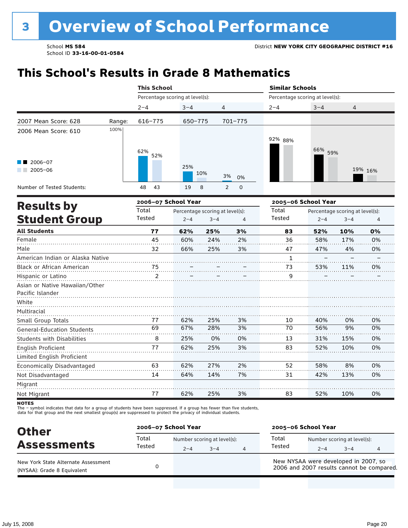### **This School's Results in Grade 8 Mathematics**

|                                   |        | <b>This School</b>              |         |                                 |                     | <b>Similar Schools</b>          |         |                                 |                |
|-----------------------------------|--------|---------------------------------|---------|---------------------------------|---------------------|---------------------------------|---------|---------------------------------|----------------|
|                                   |        | Percentage scoring at level(s): |         |                                 |                     | Percentage scoring at level(s): |         |                                 |                |
|                                   |        | $2 - 4$                         | $3 - 4$ | 4                               |                     | $2 - 4$                         | $3 - 4$ | 4                               |                |
| 2007 Mean Score: 628              | Range: | $616 - 775$                     | 650-775 |                                 | $701 - 775$         |                                 |         |                                 |                |
| 2006 Mean Score: 610              | 100%   | 62%<br>52%                      |         |                                 |                     | 92% 88%                         | 66% 59% |                                 |                |
| $2006 - 07$<br>٠<br>$2005 - 06$   |        |                                 | 25%     | 10%                             | 3%<br>0%            |                                 |         |                                 | 19% 16%        |
| Number of Tested Students:        |        | 48<br>43                        | 19      | 8                               | $\overline{2}$<br>0 |                                 |         |                                 |                |
| <b>Results by</b>                 |        | 2006-07 School Year             |         |                                 |                     | 2005-06 School Year             |         |                                 |                |
|                                   |        | Total                           |         | Percentage scoring at level(s): |                     | Total                           |         | Percentage scoring at level(s): |                |
| <b>Student Group</b>              |        | Tested                          | $2 - 4$ | $3 - 4$                         | $\overline{4}$      | Tested                          | $2 - 4$ | $3 - 4$                         | $\overline{4}$ |
| <b>All Students</b>               |        | 77                              | 62%     | 25%                             | 3%                  | 83                              | 52%     | 10%                             | 0%             |
| Female                            |        | 45                              | 60%     | 24%                             | 2%                  | 36                              | 58%     | 17%                             | 0%             |
| Male                              |        | 32                              | 66%     | 25%                             | 3%                  | 47                              | 47%     | 4%                              | 0%             |
| American Indian or Alaska Native  |        |                                 |         |                                 |                     | 1                               |         |                                 |                |
| Black or African American         |        | 75                              |         |                                 |                     | 73                              | 53%     | 11%                             | 0%             |
| Hispanic or Latino                |        | 2                               |         |                                 |                     | 9                               |         |                                 |                |
| Asian or Native Hawaiian/Other    |        |                                 |         |                                 |                     |                                 |         |                                 |                |
| Pacific Islander                  |        |                                 |         |                                 |                     |                                 |         |                                 |                |
| White                             |        |                                 |         |                                 |                     |                                 |         |                                 |                |
| Multiracial                       |        |                                 |         |                                 |                     |                                 |         |                                 |                |
| Small Group Totals                |        | 77                              | 62%     | 25%                             | 3%                  | 10                              | 40%     | 0%                              | 0%             |
| <b>General-Education Students</b> |        | 69                              | 67%     | 28%                             | 3%                  | 70                              | 56%     | 9%                              | 0%             |
| <b>Students with Disabilities</b> |        | 8                               | 25%     | 0%                              | 0%                  | 13                              | 31%     | 15%                             | 0%             |
| English Proficient                |        | 77                              | 62%     | 25%                             | 3%                  | 83                              | 52%     | 10%                             | 0%             |
| Limited English Proficient        |        |                                 |         |                                 |                     |                                 |         |                                 |                |
| Economically Disadvantaged        |        | 63                              | 62%     | 27%                             | 2%                  | 52                              | 58%     | 8%                              | 0%             |
| Not Disadvantaged                 |        | 14                              | 64%     | 14%                             | 7%                  | 31                              | 42%     | 13%                             | 0%             |
| Migrant                           |        |                                 |         |                                 |                     |                                 |         |                                 |                |
| Not Migrant                       |        | 77                              | 62%     | 25%                             | 3%                  | 83                              | 52%     | 10%                             | 0%             |

**NOTES** 

The – symbol indicates that data for a group of students have been suppressed. If a group has fewer than five students,<br>data for that group and the next smallest group(s) are suppressed to protect the privacy of individual

| <b>Other</b>                                                       | 2006-07 School Year |                                        |         |   | 2005-06 School Year                                                               |                                        |         |  |
|--------------------------------------------------------------------|---------------------|----------------------------------------|---------|---|-----------------------------------------------------------------------------------|----------------------------------------|---------|--|
| <b>Assessments</b>                                                 | Total<br>Tested     | Number scoring at level(s):<br>$2 - 4$ | $3 - 4$ | 4 | Total<br>Tested                                                                   | Number scoring at level(s):<br>$2 - 4$ | $3 - 4$ |  |
| New York State Alternate Assessment<br>(NYSAA): Grade 8 Equivalent |                     |                                        |         |   | New NYSAA were developed in 2007, so<br>2006 and 2007 results cannot be compared. |                                        |         |  |